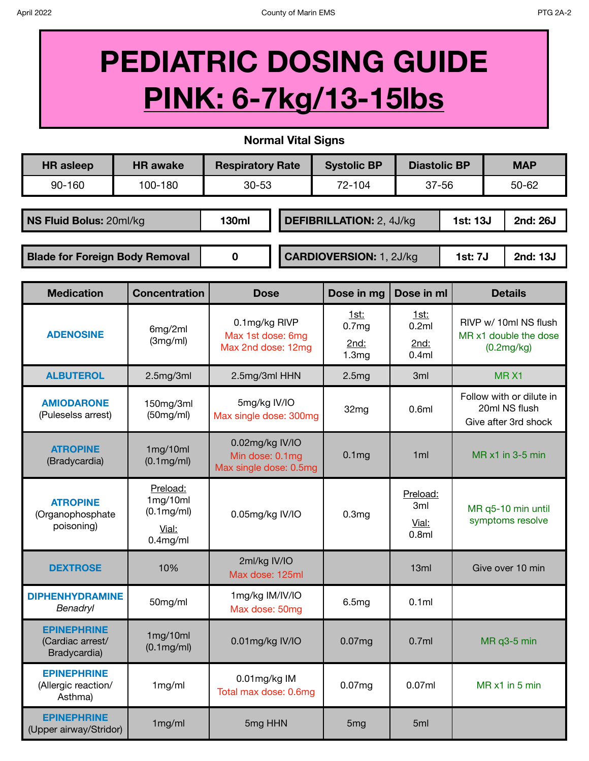## **PEDIATRIC DOSING GUIDE PINK: 6-7kg/13-15lbs**

**Normal Vital Signs**

| <b>HR</b> asleep                      | <b>HR</b> awake | <b>Respiratory Rate</b> |                                 | <b>Systolic BP</b> | <b>Diastolic BP</b> |                 | <b>MAP</b> |          |
|---------------------------------------|-----------------|-------------------------|---------------------------------|--------------------|---------------------|-----------------|------------|----------|
| 90-160                                | 100-180         | $30 - 53$               |                                 | 72-104             | $37 - 56$           |                 | $50 - 62$  |          |
|                                       |                 |                         |                                 |                    |                     |                 |            |          |
| NS Fluid Bolus: 20ml/kg               |                 | 130ml                   | <b>DEFIBRILLATION: 2, 4J/kg</b> |                    |                     | <b>1st: 13J</b> |            | 2nd: 26J |
|                                       |                 |                         |                                 |                    |                     |                 |            |          |
| <b>Blade for Foreign Body Removal</b> |                 | 0                       | <b>CARDIOVERSION: 1, 2J/kg</b>  |                    |                     | <b>1st: 7J</b>  |            | 2nd: 13J |

| <b>Medication</b>                                      | <b>Concentration</b>                                       | <b>Dose</b>                                                  | Dose in mg                                 | Dose in ml                                               | <b>Details</b>                                                    |
|--------------------------------------------------------|------------------------------------------------------------|--------------------------------------------------------------|--------------------------------------------|----------------------------------------------------------|-------------------------------------------------------------------|
| <b>ADENOSINE</b>                                       | 6mg/2ml<br>(3mg/ml)                                        | 0.1mg/kg RIVP<br>Max 1st dose: 6mg<br>Max 2nd dose: 12mg     | 1st:<br>0.7 <sub>mg</sub><br>2nd:<br>1.3mg | <u>1st:</u><br>0.2ml<br>2nd:<br>0.4ml                    | RIVP w/ 10ml NS flush<br>MR x1 double the dose<br>(0.2mg/kg)      |
| <b>ALBUTEROL</b>                                       | 2.5mg/3ml                                                  | 2.5mg/3ml HHN                                                | 2.5mg                                      | 3ml                                                      | MRX1                                                              |
| <b>AMIODARONE</b><br>(Puleselss arrest)                | 150mg/3ml<br>(50mg/ml)                                     | 5mg/kg IV/IO<br>Max single dose: 300mg                       | 32mg                                       | 0.6ml                                                    | Follow with or dilute in<br>20ml NS flush<br>Give after 3rd shock |
| <b>ATROPINE</b><br>(Bradycardia)                       | 1mg/10ml<br>$(0.1 \text{mg/ml})$                           | 0.02mg/kg IV/IO<br>Min dose: 0.1mg<br>Max single dose: 0.5mg | 0.1 <sub>mg</sub>                          | 1ml                                                      | MR x1 in 3-5 min                                                  |
| <b>ATROPINE</b><br>(Organophosphate<br>poisoning)      | Preload:<br>1mg/10ml<br>(0.1mg/ml)<br>Vial:<br>$0.4$ mg/ml | 0.05mg/kg IV/IO                                              | 0.3 <sub>mg</sub>                          | Preload:<br>3 <sub>ml</sub><br>Vial:<br>0.8 <sub>m</sub> | MR q5-10 min until<br>symptoms resolve                            |
| <b>DEXTROSE</b>                                        | 10%                                                        | 2ml/kg IV/IO<br>Max dose: 125ml                              |                                            | 13ml                                                     | Give over 10 min                                                  |
| <b>DIPHENHYDRAMINE</b><br>Benadryl                     | 50mg/ml                                                    | 1mg/kg IM/IV/IO<br>Max dose: 50mg                            | 6.5mg                                      | 0.1ml                                                    |                                                                   |
| <b>EPINEPHRINE</b><br>(Cardiac arrest/<br>Bradycardia) | 1mg/10ml<br>(0.1mg/ml)                                     | 0.01mg/kg IV/IO                                              | 0.07mg                                     | 0.7ml                                                    | MR q3-5 min                                                       |
| <b>EPINEPHRINE</b><br>(Allergic reaction/<br>Asthma)   | 1mg/ml                                                     | 0.01mg/kg IM<br>Total max dose: 0.6mg                        | 0.07mg                                     | 0.07ml                                                   | MR x1 in 5 min                                                    |
| <b>EPINEPHRINE</b><br>(Upper airway/Stridor)           | 1mg/ml                                                     | 5mg HHN                                                      | 5 <sub>mg</sub>                            | 5 <sub>ml</sub>                                          |                                                                   |